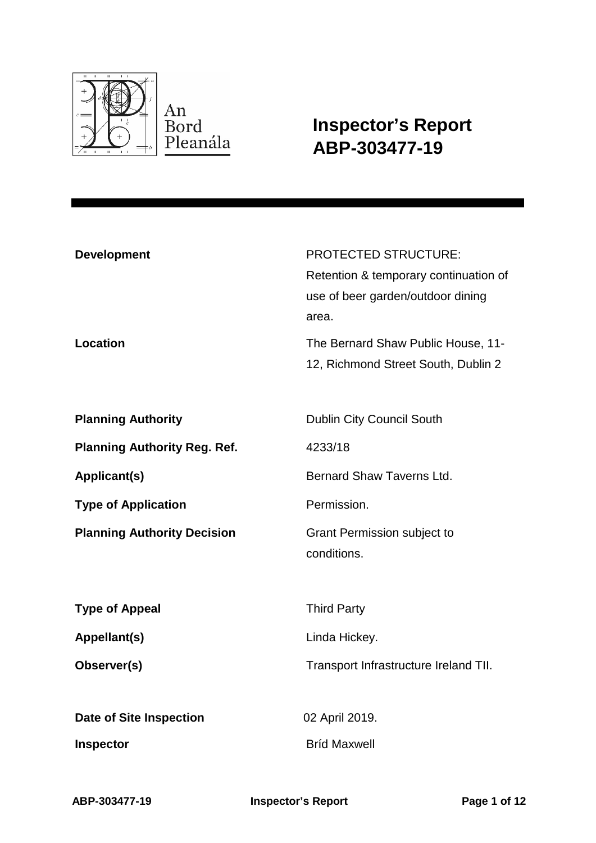

**Inspector's Report ABP-303477-19**

| <b>Development</b>                  | <b>PROTECTED STRUCTURE:</b>           |
|-------------------------------------|---------------------------------------|
|                                     | Retention & temporary continuation of |
|                                     | use of beer garden/outdoor dining     |
|                                     | area.                                 |
| <b>Location</b>                     | The Bernard Shaw Public House, 11-    |
|                                     | 12, Richmond Street South, Dublin 2   |
|                                     |                                       |
| <b>Planning Authority</b>           | <b>Dublin City Council South</b>      |
| <b>Planning Authority Reg. Ref.</b> | 4233/18                               |
| Applicant(s)                        | Bernard Shaw Taverns Ltd.             |
| <b>Type of Application</b>          | Permission.                           |
| <b>Planning Authority Decision</b>  | <b>Grant Permission subject to</b>    |
|                                     | conditions.                           |
|                                     |                                       |
| <b>Type of Appeal</b>               | <b>Third Party</b>                    |
| Appellant(s)                        | Linda Hickey.                         |
| Observer(s)                         | Transport Infrastructure Ireland TII. |
|                                     |                                       |
| <b>Date of Site Inspection</b>      | 02 April 2019.                        |
| <b>Inspector</b>                    | <b>Brid Maxwell</b>                   |
|                                     |                                       |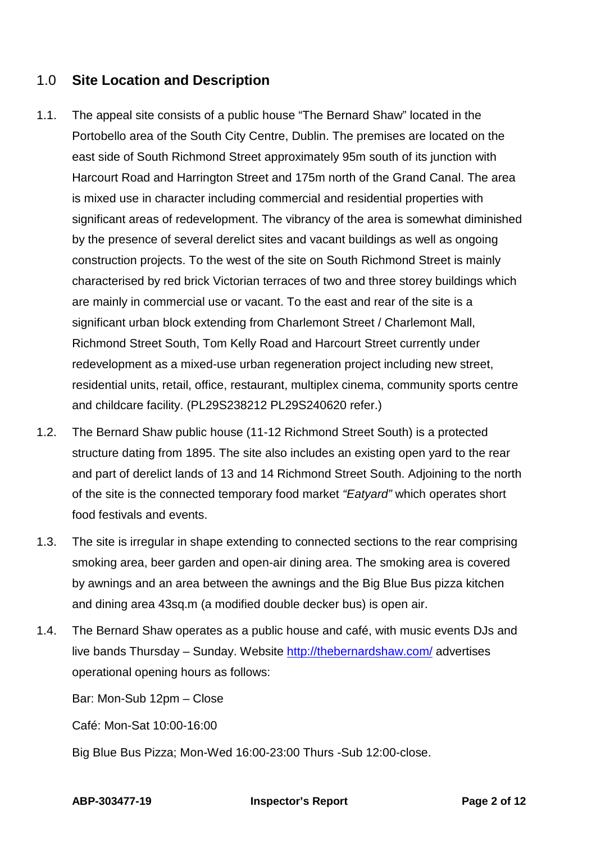# 1.0 **Site Location and Description**

- 1.1. The appeal site consists of a public house "The Bernard Shaw" located in the Portobello area of the South City Centre, Dublin. The premises are located on the east side of South Richmond Street approximately 95m south of its junction with Harcourt Road and Harrington Street and 175m north of the Grand Canal. The area is mixed use in character including commercial and residential properties with significant areas of redevelopment. The vibrancy of the area is somewhat diminished by the presence of several derelict sites and vacant buildings as well as ongoing construction projects. To the west of the site on South Richmond Street is mainly characterised by red brick Victorian terraces of two and three storey buildings which are mainly in commercial use or vacant. To the east and rear of the site is a significant urban block extending from Charlemont Street / Charlemont Mall, Richmond Street South, Tom Kelly Road and Harcourt Street currently under redevelopment as a mixed-use urban regeneration project including new street, residential units, retail, office, restaurant, multiplex cinema, community sports centre and childcare facility. (PL29S238212 PL29S240620 refer.)
- 1.2. The Bernard Shaw public house (11-12 Richmond Street South) is a protected structure dating from 1895. The site also includes an existing open yard to the rear and part of derelict lands of 13 and 14 Richmond Street South. Adjoining to the north of the site is the connected temporary food market *"Eatyard"* which operates short food festivals and events.
- 1.3. The site is irregular in shape extending to connected sections to the rear comprising smoking area, beer garden and open-air dining area. The smoking area is covered by awnings and an area between the awnings and the Big Blue Bus pizza kitchen and dining area 43sq.m (a modified double decker bus) is open air.
- 1.4. The Bernard Shaw operates as a public house and café, with music events DJs and live bands Thursday – Sunday. Website<http://thebernardshaw.com/> advertises operational opening hours as follows:

Bar: Mon-Sub 12pm – Close

Café: Mon-Sat 10:00-16:00

Big Blue Bus Pizza; Mon-Wed 16:00-23:00 Thurs -Sub 12:00-close.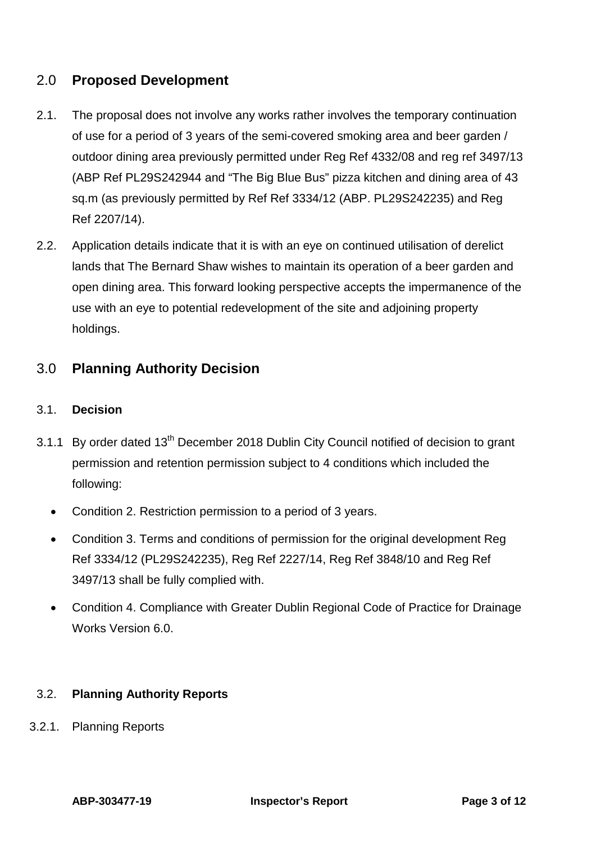# 2.0 **Proposed Development**

- 2.1. The proposal does not involve any works rather involves the temporary continuation of use for a period of 3 years of the semi-covered smoking area and beer garden / outdoor dining area previously permitted under Reg Ref 4332/08 and reg ref 3497/13 (ABP Ref PL29S242944 and "The Big Blue Bus" pizza kitchen and dining area of 43 sq.m (as previously permitted by Ref Ref 3334/12 (ABP. PL29S242235) and Reg Ref 2207/14).
- 2.2. Application details indicate that it is with an eye on continued utilisation of derelict lands that The Bernard Shaw wishes to maintain its operation of a beer garden and open dining area. This forward looking perspective accepts the impermanence of the use with an eye to potential redevelopment of the site and adjoining property holdings.

# 3.0 **Planning Authority Decision**

## 3.1. **Decision**

- 3.1.1 By order dated 13<sup>th</sup> December 2018 Dublin City Council notified of decision to grant permission and retention permission subject to 4 conditions which included the following:
	- Condition 2. Restriction permission to a period of 3 years.
	- Condition 3. Terms and conditions of permission for the original development Reg Ref 3334/12 (PL29S242235), Reg Ref 2227/14, Reg Ref 3848/10 and Reg Ref 3497/13 shall be fully complied with.
	- Condition 4. Compliance with Greater Dublin Regional Code of Practice for Drainage Works Version 6.0.

#### 3.2. **Planning Authority Reports**

3.2.1. Planning Reports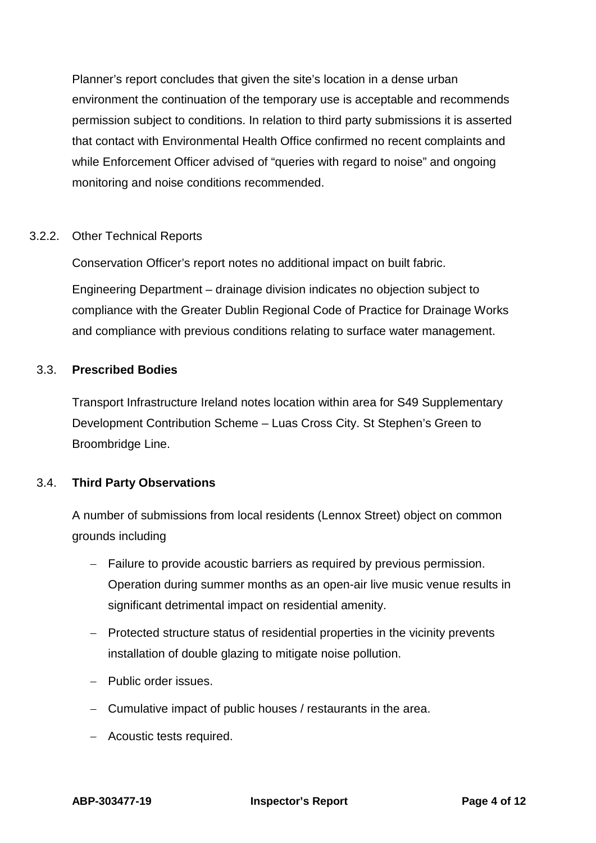Planner's report concludes that given the site's location in a dense urban environment the continuation of the temporary use is acceptable and recommends permission subject to conditions. In relation to third party submissions it is asserted that contact with Environmental Health Office confirmed no recent complaints and while Enforcement Officer advised of "queries with regard to noise" and ongoing monitoring and noise conditions recommended.

#### 3.2.2. Other Technical Reports

Conservation Officer's report notes no additional impact on built fabric.

Engineering Department – drainage division indicates no objection subject to compliance with the Greater Dublin Regional Code of Practice for Drainage Works and compliance with previous conditions relating to surface water management.

## 3.3. **Prescribed Bodies**

Transport Infrastructure Ireland notes location within area for S49 Supplementary Development Contribution Scheme – Luas Cross City. St Stephen's Green to Broombridge Line.

## 3.4. **Third Party Observations**

A number of submissions from local residents (Lennox Street) object on common grounds including

- − Failure to provide acoustic barriers as required by previous permission. Operation during summer months as an open-air live music venue results in significant detrimental impact on residential amenity.
- − Protected structure status of residential properties in the vicinity prevents installation of double glazing to mitigate noise pollution.
- − Public order issues.
- − Cumulative impact of public houses / restaurants in the area.
- − Acoustic tests required.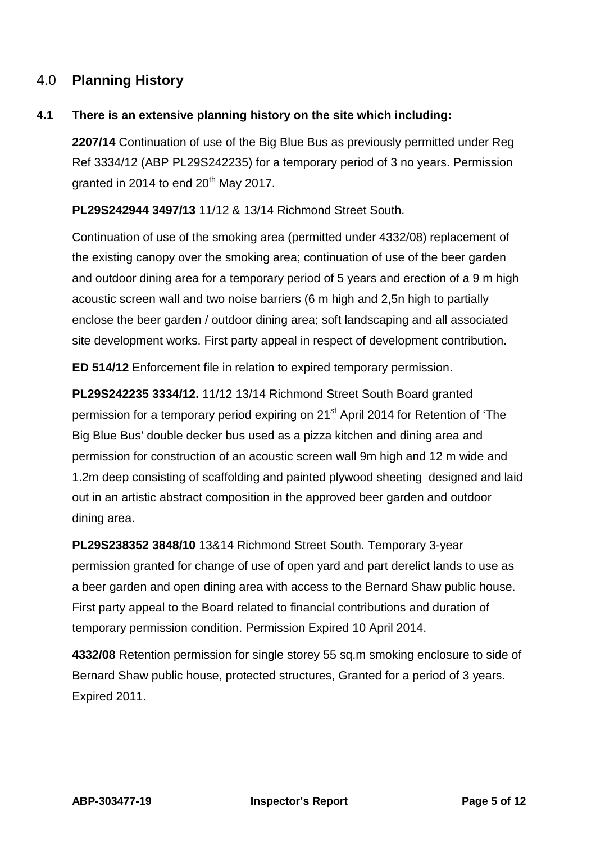# 4.0 **Planning History**

## **4.1 There is an extensive planning history on the site which including:**

**2207/14** Continuation of use of the Big Blue Bus as previously permitted under Reg Ref 3334/12 (ABP PL29S242235) for a temporary period of 3 no years. Permission granted in 2014 to end  $20<sup>th</sup>$  May 2017.

**PL29S242944 3497/13** 11/12 & 13/14 Richmond Street South.

Continuation of use of the smoking area (permitted under 4332/08) replacement of the existing canopy over the smoking area; continuation of use of the beer garden and outdoor dining area for a temporary period of 5 years and erection of a 9 m high acoustic screen wall and two noise barriers (6 m high and 2,5n high to partially enclose the beer garden / outdoor dining area; soft landscaping and all associated site development works. First party appeal in respect of development contribution.

**ED 514/12** Enforcement file in relation to expired temporary permission.

**PL29S242235 3334/12.** 11/12 13/14 Richmond Street South Board granted permission for a temporary period expiring on 21<sup>st</sup> April 2014 for Retention of 'The Big Blue Bus' double decker bus used as a pizza kitchen and dining area and permission for construction of an acoustic screen wall 9m high and 12 m wide and 1.2m deep consisting of scaffolding and painted plywood sheeting designed and laid out in an artistic abstract composition in the approved beer garden and outdoor dining area.

**PL29S238352 3848/10** 13&14 Richmond Street South. Temporary 3-year permission granted for change of use of open yard and part derelict lands to use as a beer garden and open dining area with access to the Bernard Shaw public house. First party appeal to the Board related to financial contributions and duration of temporary permission condition. Permission Expired 10 April 2014.

**4332/08** Retention permission for single storey 55 sq.m smoking enclosure to side of Bernard Shaw public house, protected structures, Granted for a period of 3 years. Expired 2011.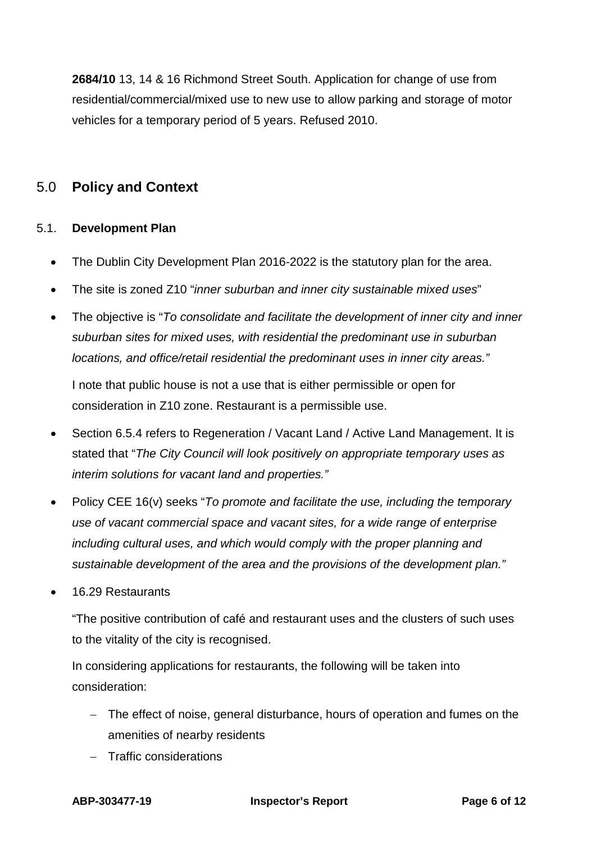**2684/10** 13, 14 & 16 Richmond Street South. Application for change of use from residential/commercial/mixed use to new use to allow parking and storage of motor vehicles for a temporary period of 5 years. Refused 2010.

# 5.0 **Policy and Context**

## 5.1. **Development Plan**

- The Dublin City Development Plan 2016-2022 is the statutory plan for the area.
- The site is zoned Z10 "*inner suburban and inner city sustainable mixed uses*"
- The objective is "*To consolidate and facilitate the development of inner city and inner suburban sites for mixed uses, with residential the predominant use in suburban locations, and office/retail residential the predominant uses in inner city areas."*

I note that public house is not a use that is either permissible or open for consideration in Z10 zone. Restaurant is a permissible use.

- Section 6.5.4 refers to Regeneration / Vacant Land / Active Land Management. It is stated that "*The City Council will look positively on appropriate temporary uses as interim solutions for vacant land and properties."*
- Policy CEE 16(v) seeks "*To promote and facilitate the use, including the temporary use of vacant commercial space and vacant sites, for a wide range of enterprise including cultural uses, and which would comply with the proper planning and sustainable development of the area and the provisions of the development plan."*
- 16.29 Restaurants

"The positive contribution of café and restaurant uses and the clusters of such uses to the vitality of the city is recognised.

In considering applications for restaurants, the following will be taken into consideration:

- − The effect of noise, general disturbance, hours of operation and fumes on the amenities of nearby residents
- − Traffic considerations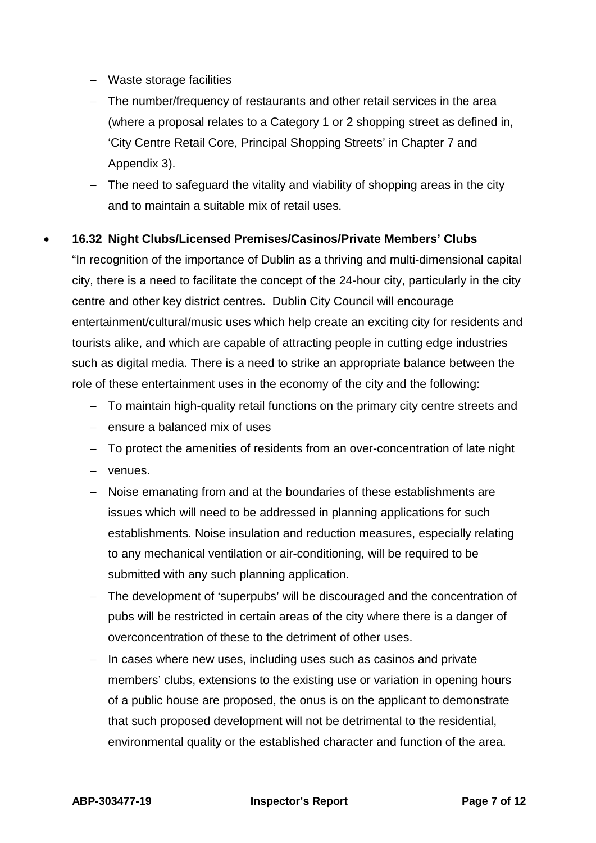- − Waste storage facilities
- − The number/frequency of restaurants and other retail services in the area (where a proposal relates to a Category 1 or 2 shopping street as defined in, 'City Centre Retail Core, Principal Shopping Streets' in Chapter 7 and Appendix 3).
- − The need to safeguard the vitality and viability of shopping areas in the city and to maintain a suitable mix of retail uses.

## • **16.32 Night Clubs/Licensed Premises/Casinos/Private Members' Clubs**

"In recognition of the importance of Dublin as a thriving and multi-dimensional capital city, there is a need to facilitate the concept of the 24-hour city, particularly in the city centre and other key district centres. Dublin City Council will encourage entertainment/cultural/music uses which help create an exciting city for residents and tourists alike, and which are capable of attracting people in cutting edge industries such as digital media. There is a need to strike an appropriate balance between the role of these entertainment uses in the economy of the city and the following:

- − To maintain high-quality retail functions on the primary city centre streets and
- − ensure a balanced mix of uses
- − To protect the amenities of residents from an over-concentration of late night
- − venues.
- − Noise emanating from and at the boundaries of these establishments are issues which will need to be addressed in planning applications for such establishments. Noise insulation and reduction measures, especially relating to any mechanical ventilation or air-conditioning, will be required to be submitted with any such planning application.
- − The development of 'superpubs' will be discouraged and the concentration of pubs will be restricted in certain areas of the city where there is a danger of overconcentration of these to the detriment of other uses.
- − In cases where new uses, including uses such as casinos and private members' clubs, extensions to the existing use or variation in opening hours of a public house are proposed, the onus is on the applicant to demonstrate that such proposed development will not be detrimental to the residential, environmental quality or the established character and function of the area.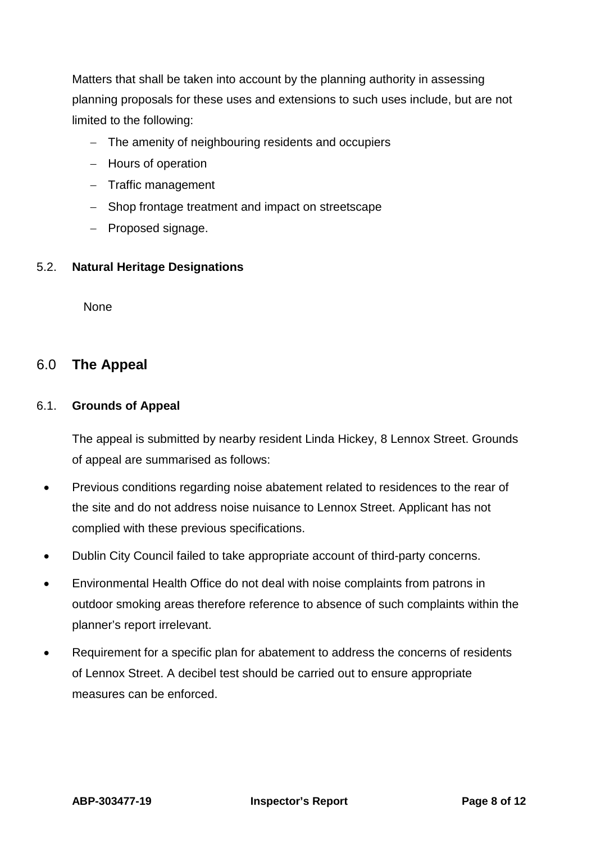Matters that shall be taken into account by the planning authority in assessing planning proposals for these uses and extensions to such uses include, but are not limited to the following:

- − The amenity of neighbouring residents and occupiers
- − Hours of operation
- − Traffic management
- − Shop frontage treatment and impact on streetscape
- − Proposed signage.

#### 5.2. **Natural Heritage Designations**

**None** 

# 6.0 **The Appeal**

#### 6.1. **Grounds of Appeal**

The appeal is submitted by nearby resident Linda Hickey, 8 Lennox Street. Grounds of appeal are summarised as follows:

- Previous conditions regarding noise abatement related to residences to the rear of the site and do not address noise nuisance to Lennox Street. Applicant has not complied with these previous specifications.
- Dublin City Council failed to take appropriate account of third-party concerns.
- Environmental Health Office do not deal with noise complaints from patrons in outdoor smoking areas therefore reference to absence of such complaints within the planner's report irrelevant.
- Requirement for a specific plan for abatement to address the concerns of residents of Lennox Street. A decibel test should be carried out to ensure appropriate measures can be enforced.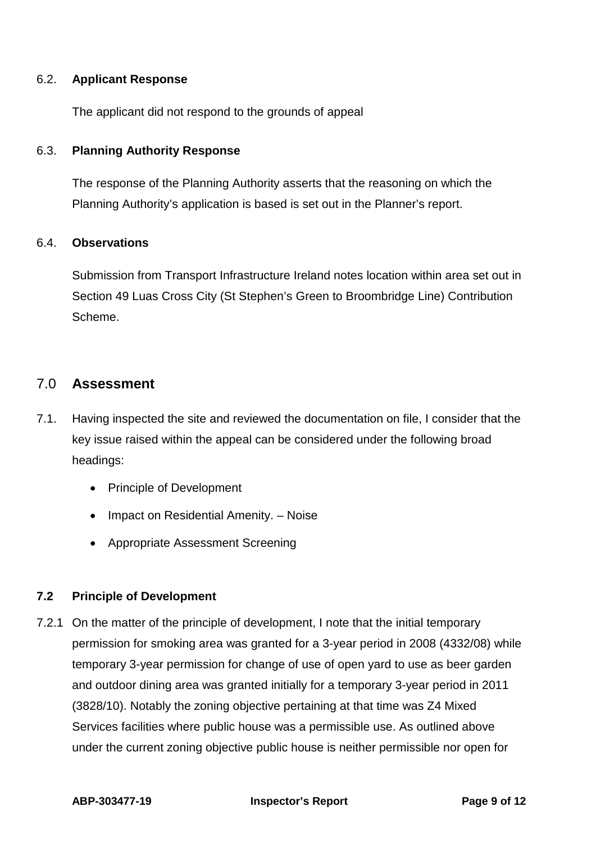#### 6.2. **Applicant Response**

The applicant did not respond to the grounds of appeal

#### 6.3. **Planning Authority Response**

The response of the Planning Authority asserts that the reasoning on which the Planning Authority's application is based is set out in the Planner's report.

#### 6.4. **Observations**

Submission from Transport Infrastructure Ireland notes location within area set out in Section 49 Luas Cross City (St Stephen's Green to Broombridge Line) Contribution Scheme.

# 7.0 **Assessment**

- 7.1. Having inspected the site and reviewed the documentation on file, I consider that the key issue raised within the appeal can be considered under the following broad headings:
	- Principle of Development
	- Impact on Residential Amenity. Noise
	- Appropriate Assessment Screening

#### **7.2 Principle of Development**

7.2.1 On the matter of the principle of development, I note that the initial temporary permission for smoking area was granted for a 3-year period in 2008 (4332/08) while temporary 3-year permission for change of use of open yard to use as beer garden and outdoor dining area was granted initially for a temporary 3-year period in 2011 (3828/10). Notably the zoning objective pertaining at that time was Z4 Mixed Services facilities where public house was a permissible use. As outlined above under the current zoning objective public house is neither permissible nor open for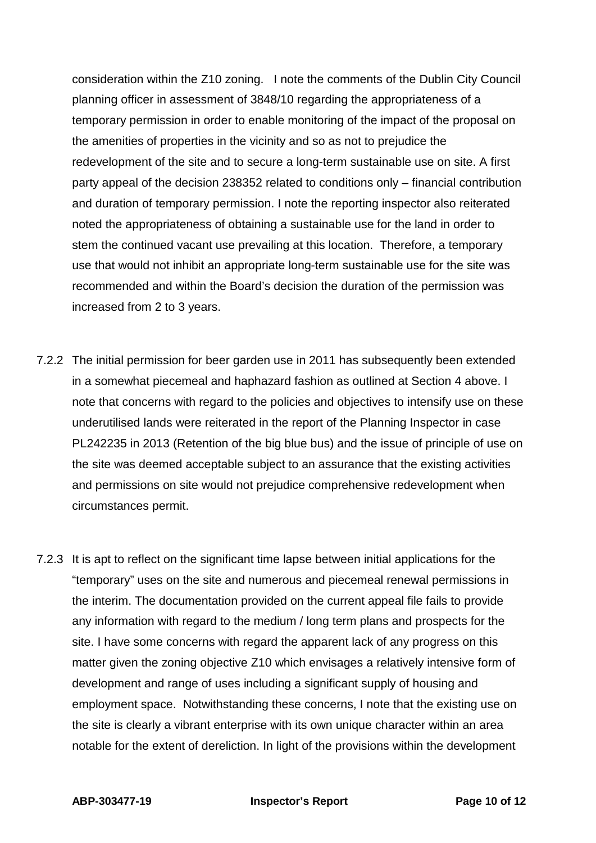consideration within the Z10 zoning. I note the comments of the Dublin City Council planning officer in assessment of 3848/10 regarding the appropriateness of a temporary permission in order to enable monitoring of the impact of the proposal on the amenities of properties in the vicinity and so as not to prejudice the redevelopment of the site and to secure a long-term sustainable use on site. A first party appeal of the decision 238352 related to conditions only – financial contribution and duration of temporary permission. I note the reporting inspector also reiterated noted the appropriateness of obtaining a sustainable use for the land in order to stem the continued vacant use prevailing at this location. Therefore, a temporary use that would not inhibit an appropriate long-term sustainable use for the site was recommended and within the Board's decision the duration of the permission was increased from 2 to 3 years.

- 7.2.2 The initial permission for beer garden use in 2011 has subsequently been extended in a somewhat piecemeal and haphazard fashion as outlined at Section 4 above. I note that concerns with regard to the policies and objectives to intensify use on these underutilised lands were reiterated in the report of the Planning Inspector in case PL242235 in 2013 (Retention of the big blue bus) and the issue of principle of use on the site was deemed acceptable subject to an assurance that the existing activities and permissions on site would not prejudice comprehensive redevelopment when circumstances permit.
- 7.2.3 It is apt to reflect on the significant time lapse between initial applications for the "temporary" uses on the site and numerous and piecemeal renewal permissions in the interim. The documentation provided on the current appeal file fails to provide any information with regard to the medium / long term plans and prospects for the site. I have some concerns with regard the apparent lack of any progress on this matter given the zoning objective Z10 which envisages a relatively intensive form of development and range of uses including a significant supply of housing and employment space. Notwithstanding these concerns, I note that the existing use on the site is clearly a vibrant enterprise with its own unique character within an area notable for the extent of dereliction. In light of the provisions within the development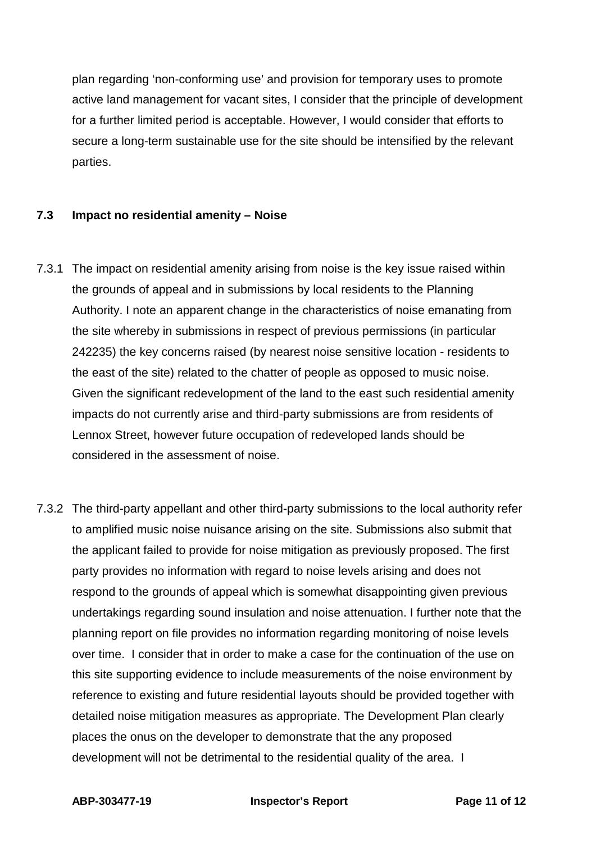plan regarding 'non-conforming use' and provision for temporary uses to promote active land management for vacant sites, I consider that the principle of development for a further limited period is acceptable. However, I would consider that efforts to secure a long-term sustainable use for the site should be intensified by the relevant parties.

#### **7.3 Impact no residential amenity – Noise**

- 7.3.1 The impact on residential amenity arising from noise is the key issue raised within the grounds of appeal and in submissions by local residents to the Planning Authority. I note an apparent change in the characteristics of noise emanating from the site whereby in submissions in respect of previous permissions (in particular 242235) the key concerns raised (by nearest noise sensitive location - residents to the east of the site) related to the chatter of people as opposed to music noise. Given the significant redevelopment of the land to the east such residential amenity impacts do not currently arise and third-party submissions are from residents of Lennox Street, however future occupation of redeveloped lands should be considered in the assessment of noise.
- 7.3.2 The third-party appellant and other third-party submissions to the local authority refer to amplified music noise nuisance arising on the site. Submissions also submit that the applicant failed to provide for noise mitigation as previously proposed. The first party provides no information with regard to noise levels arising and does not respond to the grounds of appeal which is somewhat disappointing given previous undertakings regarding sound insulation and noise attenuation. I further note that the planning report on file provides no information regarding monitoring of noise levels over time. I consider that in order to make a case for the continuation of the use on this site supporting evidence to include measurements of the noise environment by reference to existing and future residential layouts should be provided together with detailed noise mitigation measures as appropriate. The Development Plan clearly places the onus on the developer to demonstrate that the any proposed development will not be detrimental to the residential quality of the area. I